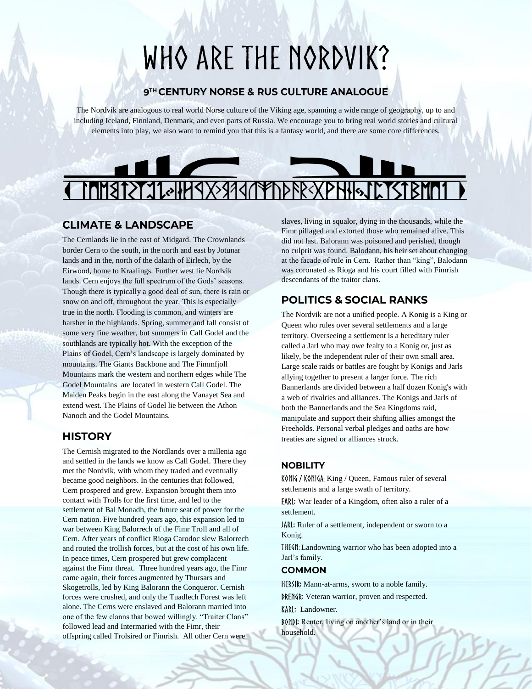# WHO ARE THE NORDVIK?

#### 9TH CENTURY NORSE & RUS CULTURE ANALOGUE

The Nordvik are analogous to real world Norse culture of the Viking age, spanning a wide range of geography, up to and including Iceland, Finnland, Denmark, and even parts of Russia. We encourage you to bring real world stories and cultural elements into play, we also want to remind you that this is a fantasy world, and there are some core differences.

# 19739347 **PUSYA**

#### **CLIMATE & LANDSCAPE**

The Cernlands lie in the east of Midgard. The Crownlands border Cern to the south, in the north and east by Jotunar lands and in the, north of the dalaith of Eirlech, by the Eirwood, home to Kraalings. Further west lie Nordvik lands. Cern enjoys the full spectrum of the Gods' seasons. Though there is typically a good deal of sun, there is rain or snow on and off, throughout the year. This is especially true in the north. Flooding is common, and winters are harsher in the highlands. Spring, summer and fall consist of some very fine weather, but summers in Call Godel and the southlands are typically hot. With the exception of the Plains of Godel, Cern's landscape is largely dominated by mountains. The Giants Backbone and The Fimmfjoll Mountains mark the western and northern edges while The Godel Mountains are located in western Call Godel. The Maiden Peaks begin in the east along the Vanayet Sea and extend west. The Plains of Godel lie between the Athon Nanoch and the Godel Mountains.

### **HISTORY**

The Cernish migrated to the Nordlands over a millenia ago and settled in the lands we know as Call Godel. There they met the Nordvik, with whom they traded and eventually became good neighbors. In the centuries that followed, Cern prospered and grew. Expansion brought them into contact with Trolls for the first time, and led to the settlement of Bal Monadh, the future seat of power for the Cern nation. Five hundred years ago, this expansion led to war between King Balorrech of the Fimr Troll and all of Cern. After years of conflict Rioga Carodoc slew Balorrech and routed the trollish forces, but at the cost of his own life. In peace times, Cern prospered but grew complacent against the Fimr threat. Three hundred years ago, the Fimr came again, their forces augmented by Thursars and Skogetrolls, led by King Balorann the Conqueror. Cernish forces were crushed, and only the Tuadlech Forest was left alone. The Cerns were enslaved and Balorann married into one of the few clanns that bowed willingly. "Traiter Clans" followed lead and Intermaried with the Fimr, their offspring called Trolsired or Fimrish. All other Cern were

slaves, living in squalor, dying in the thousands, while the Fimr pillaged and extorted those who remained alive. This did not last. Balorann was poisoned and perished, though no culprit was found. Balodann, his heir set about changing at the facade of rule in Cern. Rather than "king", Balodann was coronated as Ríoga and his court filled with Fimrish descendants of the traitor clans.

# **POLITICS & SOCIAL RANKS**

The Nordvik are not a unified people. A Konig is a King or Queen who rules over several settlements and a large territory. Overseeing a settlement is a hereditary ruler called a Jarl who may owe fealty to a Konig or, just as likely, be the independent ruler of their own small area. Large scale raids or battles are fought by Konigs and Jarls allying together to present a larger force. The rich Bannerlands are divided between a half dozen Konig's with a web of rivalries and alliances. The Konigs and Jarls of both the Bannerlands and the Sea Kingdoms raid, manipulate and support their shifting allies amongst the Freeholds. Personal verbal pledges and oaths are how treaties are signed or alliances struck.

#### **NOBILITY**

KONK / KONKA: King / Queen, Famous ruler of several settlements and a large swath of territory.

: War leader of a Kingdom, often also a ruler of a settlement.

JARL: Ruler of a settlement, independent or sworn to a Konig.

THE(II: Landowning warrior who has been adopted into a Jarl's family.

#### **COMMON**

HERSIR: Mann-at-arms, sworn to a noble family.

: Veteran warrior, proven and respected.

KARI: Landowner.

: Renter, living on another's land or in their household.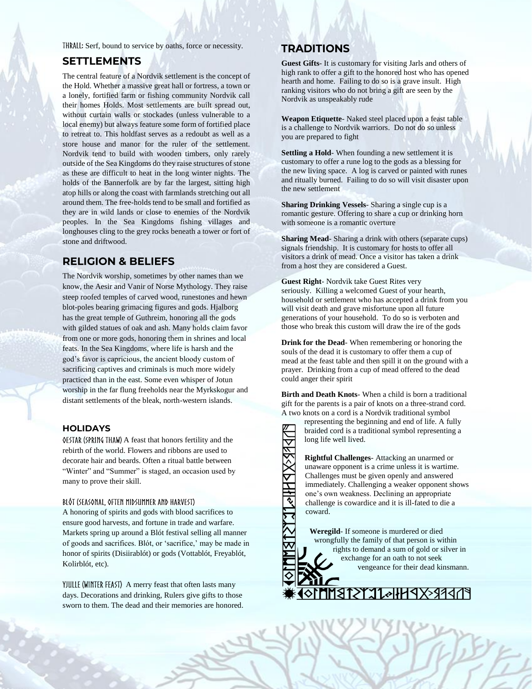THRALL: Serf, bound to service by oaths, force or necessity.

#### **SETTLEMENTS**

The central feature of a Nordvik settlement is the concept of the Hold. Whether a massive great hall or fortress, a town or a lonely, fortified farm or fishing community Nordvik call their homes Holds. Most settlements are built spread out, without curtain walls or stockades (unless vulnerable to a local enemy) but always feature some form of fortified place to retreat to. This holdfast serves as a redoubt as well as a store house and manor for the ruler of the settlement. Nordvik tend to build with wooden timbers, only rarely outside of the Sea Kingdoms do they raise structures of stone as these are difficult to heat in the long winter nights. The holds of the Bannerfolk are by far the largest, sitting high atop hills or along the coast with farmlands stretching out all around them. The free-holds tend to be small and fortified as they are in wild lands or close to enemies of the Nordvik peoples. In the Sea Kingdoms fishing villages and longhouses cling to the grey rocks beneath a tower or fort of stone and driftwood.

#### **RELIGION & BELIEFS**

The Nordvik worship, sometimes by other names than we know, the Aesir and Vanir of Norse Mythology. They raise steep roofed temples of carved wood, runestones and hewn blot-poles bearing grimacing figures and gods. Hjalborg has the great temple of Guthreim, honoring all the gods with gilded statues of oak and ash. Many holds claim favor from one or more gods, honoring them in shrines and local feats. In the Sea Kingdoms, where life is harsh and the god's favor is capricious, the ancient bloody custom of sacrificing captives and criminals is much more widely practiced than in the east. Some even whisper of Jotun worship in the far flung freeholds near the Myrkskogur and distant settlements of the bleak, north-western islands.

#### **HOLIDAYS**

0ESTAR (SPRING THAW) A feast that honors fertility and the rebirth of the world. Flowers and ribbons are used to decorate hair and beards. Often a ritual battle between "Winter" and "Summer" is staged, an occasion used by many to prove their skill.

#### BLÓT (SEASONAL, OFTEN MIDSUMMER AND HARVEST)

A honoring of spirits and gods with blood sacrifices to ensure good harvests, and fortune in trade and warfare. Markets spring up around a Blót festival selling all manner of goods and sacrifices. Blót, or 'sacrifice,' may be made in honor of spirits (Disiirablót) or gods (Vottablót, Freyablót, Kolirblót, etc).

YJULLE (WINTER FEAST) A merry feast that often lasts many days. Decorations and drinking, Rulers give gifts to those sworn to them. The dead and their memories are honored.

#### **TRADITIONS**

**Guest Gifts**- It is customary for visiting Jarls and others of high rank to offer a gift to the honored host who has opened hearth and home. Failing to do so is a grave insult. High ranking visitors who do not bring a gift are seen by the Nordvik as unspeakably rude

**Weapon Etiquette**- Naked steel placed upon a feast table is a challenge to Nordvik warriors. Do not do so unless you are prepared to fight

**Settling a Hold**- When founding a new settlement it is customary to offer a rune log to the gods as a blessing for the new living space. A log is carved or painted with runes and ritually burned. Failing to do so will visit disaster upon the new settlement

**Sharing Drinking Vessels**- Sharing a single cup is a romantic gesture. Offering to share a cup or drinking horn with someone is a romantic overture

**Sharing Mead**- Sharing a drink with others (separate cups) signals friendship. It is customary for hosts to offer all visitors a drink of mead. Once a visitor has taken a drink from a host they are considered a Guest.

**Guest Right**- Nordvik take Guest Rites very seriously. Killing a welcomed Guest of your hearth, household or settlement who has accepted a drink from you will visit death and grave misfortune upon all future generations of your household. To do so is verboten and those who break this custom will draw the ire of the gods

**Drink for the Dead**- When remembering or honoring the souls of the dead it is customary to offer them a cup of mead at the feast table and then spill it on the ground with a prayer. Drinking from a cup of mead offered to the dead could anger their spirit

**Birth and Death Knots**- When a child is born a traditional gift for the parents is a pair of knots on a three-strand cord. A two knots on a cord is a Nordvik traditional symbol

representing the beginning and end of life. A fully braided cord is a traditional symbol representing a long life well lived.

**Rightful Challenges**- Attacking an unarmed or unaware opponent is a crime unless it is wartime. Challenges must be given openly and answered immediately. Challenging a weaker opponent shows one's own weakness. Declining an appropriate challenge is cowardice and it is ill-fated to die a coward.

**Weregild**- If someone is murdered or died wrongfully the family of that person is within rights to demand a sum of gold or silver in exchange for an oath to not seek vengeance for their dead kinsmann.

<u>}}</u>\*\*\PHH^IL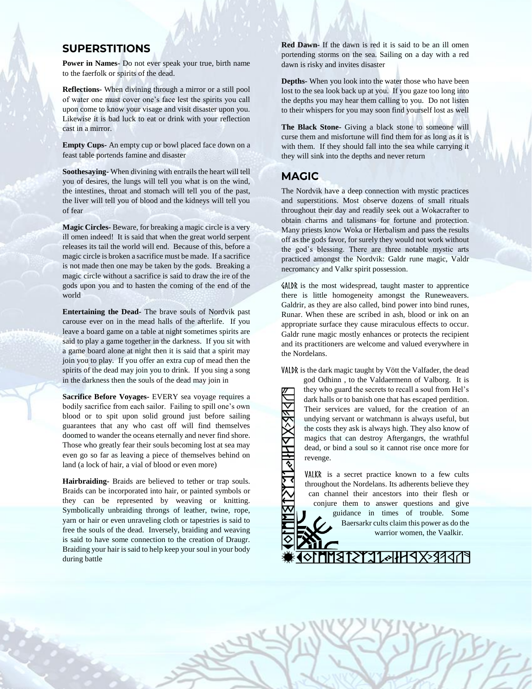#### **SUPERSTITIONS**

**Power in Names**- Do not ever speak your true, birth name to the faerfolk or spirits of the dead.

**Reflections-** When divining through a mirror or a still pool of water one must cover one's face lest the spirits you call upon come to know your visage and visit disaster upon you. Likewise it is bad luck to eat or drink with your reflection cast in a mirror.

**Empty Cups-** An empty cup or bowl placed face down on a feast table portends famine and disaster

**Soothesaying-** When divining with entrails the heart will tell you of desires, the lungs will tell you what is on the wind, the intestines, throat and stomach will tell you of the past, the liver will tell you of blood and the kidneys will tell you of fear

**Magic Circles-** Beware, for breaking a magic circle is a very ill omen indeed! It is said that when the great world serpent releases its tail the world will end. Because of this, before a magic circle is broken a sacrifice must be made. If a sacrifice is not made then one may be taken by the gods. Breaking a magic circle without a sacrifice is said to draw the ire of the gods upon you and to hasten the coming of the end of the world

**Entertaining the Dead-** The brave souls of Nordvik past carouse ever on in the mead halls of the afterlife. If you leave a board game on a table at night sometimes spirits are said to play a game together in the darkness. If you sit with a game board alone at night then it is said that a spirit may join you to play. If you offer an extra cup of mead then the spirits of the dead may join you to drink. If you sing a song in the darkness then the souls of the dead may join in

**Sacrifice Before Voyages-** EVERY sea voyage requires a bodily sacrifice from each sailor. Failing to spill one's own blood or to spit upon solid ground just before sailing guarantees that any who cast off will find themselves doomed to wander the oceans eternally and never find shore. Those who greatly fear their souls becoming lost at sea may even go so far as leaving a piece of themselves behind on land (a lock of hair, a vial of blood or even more)

**Hairbraiding-** Braids are believed to tether or trap souls. Braids can be incorporated into hair, or painted symbols or they can be represented by weaving or knitting. Symbolically unbraiding throngs of leather, twine, rope, yarn or hair or even unraveling cloth or tapestries is said to free the souls of the dead. Inversely, braiding and weaving is said to have some connection to the creation of Draugr. Braiding your hair is said to help keep your soul in your body during battle

**Red Dawn-** If the dawn is red it is said to be an ill omen portending storms on the sea. Sailing on a day with a red dawn is risky and invites disaster

**Depths-** When you look into the water those who have been lost to the sea look back up at you. If you gaze too long into the depths you may hear them calling to you. Do not listen to their whispers for you may soon find yourself lost as well

**The Black Stone-** Giving a black stone to someone will curse them and misfortune will find them for as long as it is with them. If they should fall into the sea while carrying it they will sink into the depths and never return

#### **MAGIC**

The Nordvik have a deep connection with mystic practices and superstitions. Most observe dozens of small rituals throughout their day and readily seek out a Wokacrafter to obtain charms and talismans for fortune and protection. Many priests know Woka or Herbalism and pass the results off as the gods favor, for surely they would not work without the god's blessing. There are three notable mystic arts practiced amongst the Nordvik: Galdr rune magic, Valdr necromancy and Valkr spirit possession.

 $\delta A LDR$  is the most widespread, taught master to apprentice there is little homogeneity amongst the Runeweavers. Galdrir, as they are also called, bind power into bind runes, Runar. When these are scribed in ash, blood or ink on an appropriate surface they cause miraculous effects to occur. Galdr rune magic mostly enhances or protects the recipient and its practitioners are welcome and valued everywhere in the Nordelans.

VALDR is the dark magic taught by Vött the Valfader, the dead

god Odhinn , to the Valdaermenn of Valborg. It is they who guard the secrets to recall a soul from Hel's dark halls or to banish one that has escaped perdition. Their services are valued, for the creation of an undying servant or watchmann is always useful, but the costs they ask is always high. They also know of magics that can destroy Aftergangrs, the wrathful dead, or bind a soul so it cannot rise once more for revenge.

VALKR is a secret practice known to a few cults throughout the Nordelans. Its adherents believe they can channel their ancestors into their flesh or conjure them to answer questions and give guidance in times of trouble. Some Baersarkr cults claim this power as do the warrior women, the Vaalkir.

ATEREXPHIGTETE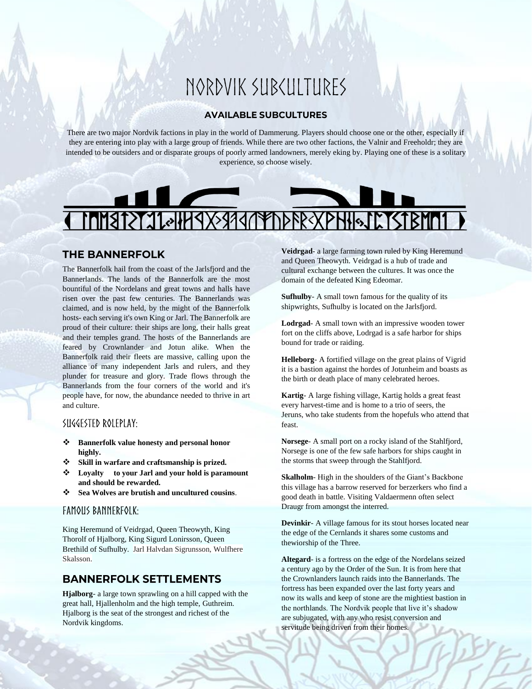# NORDVIK SUBCULTURES

#### **AVAILABLE SUBCULTURES**

There are two major Nordvik factions in play in the world of Dammerung. Players should choose one or the other, especially if they are entering into play with a large group of friends. While there are two other factions, the Valnir and Freeholdr; they are intended to be outsiders and or disparate groups of poorly armed landowners, merely eking by. Playing one of these is a solitary experience, so choose wisely.



#### **THE BANNERFOLK**

The Bannerfolk hail from the coast of the Jarlsfjord and the Bannerlands. The lands of the Bannerfolk are the most bountiful of the Nordelans and great towns and halls have risen over the past few centuries. The Bannerlands was claimed, and is now held, by the might of the Bannerfolk hosts- each serving it's own King or Jarl. The Bannerfolk are proud of their culture: their ships are long, their halls great and their temples grand. The hosts of the Bannerlands are feared by Crownlander and Jotun alike. When the Bannerfolk raid their fleets are massive, calling upon the alliance of many independent Jarls and rulers, and they plunder for treasure and glory. Trade flows through the Bannerlands from the four corners of the world and it's people have, for now, the abundance needed to thrive in art and culture.

#### SUGGESTED ROLEPLAY:

- ❖ **Bannerfolk value honesty and personal honor highly.**
- ❖ **Skill in warfare and craftsmanship is prized.**
- ❖ **Loyalty to your Jarl and your hold is paramount and should be rewarded.**
- ❖ **Sea Wolves are brutish and uncultured cousins**.

#### **FAMOUS BANNERFOLK:**

King Heremund of Veidrgad, Queen Theowyth, King Thorolf of Hjalborg, King Sigurd Lonirsson, Queen Brethild of Sufhulby. Jarl Halvdan Sigrunsson, Wulfhere Skalsson.

#### **BANNERFOLK SETTLEMENTS**

**Hjalborg**- a large town sprawling on a hill capped with the great hall, Hjallenholm and the high temple, Guthreim. Hjalborg is the seat of the strongest and richest of the Nordvik kingdoms.

**Veidrgad**- a large farming town ruled by King Heremund and Queen Theowyth. Veidrgad is a hub of trade and cultural exchange between the cultures. It was once the domain of the defeated King Edeomar.

**Sufhulby**- A small town famous for the quality of its shipwrights, Sufhulby is located on the Jarlsfjord.

**Lodrgad**- A small town with an impressive wooden tower fort on the cliffs above, Lodrgad is a safe harbor for ships bound for trade or raiding.

**Helleborg**- A fortified village on the great plains of Vigrid it is a bastion against the hordes of Jotunheim and boasts as the birth or death place of many celebrated heroes.

**Kartig**- A large fishing village, Kartig holds a great feast every harvest-time and is home to a trio of seers, the Jeruns, who take students from the hopefuls who attend that feast.

**Norsege**- A small port on a rocky island of the Stahlfjord, Norsege is one of the few safe harbors for ships caught in the storms that sweep through the Stahlfjord.

**Skalholm**- High in the shoulders of the Giant's Backbone this village has a barrow reserved for berzerkers who find a good death in battle. Visiting Valdaermenn often select Draugr from amongst the interred.

**Devinkir**- A village famous for its stout horses located near the edge of the Cernlands it shares some customs and thewiorship of the Three.

**Altegard**- is a fortress on the edge of the Nordelans seized a century ago by the Order of the Sun. It is from here that the Crownlanders launch raids into the Bannerlands. The fortress has been expanded over the last forty years and now its walls and keep of stone are the mightiest bastion in the northlands. The Nordvik people that live it's shadow are subjugated, with any who resist conversion and servitude being driven from their homes.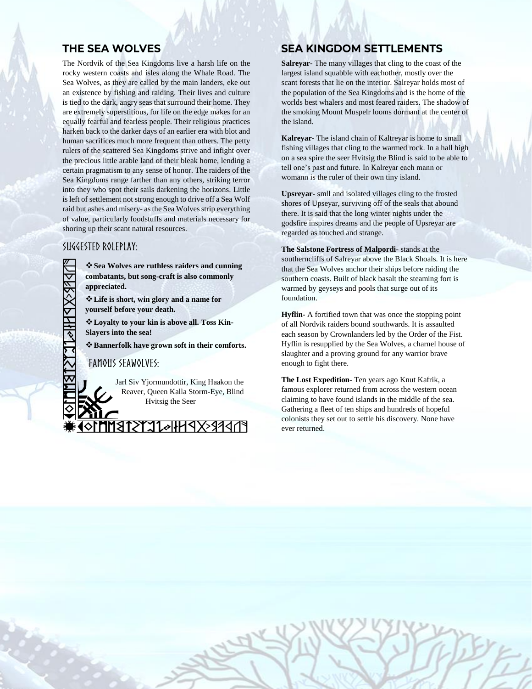## **THE SEA WOLVES**

The Nordvik of the Sea Kingdoms live a harsh life on the rocky western coasts and isles along the Whale Road. The Sea Wolves, as they are called by the main landers, eke out an existence by fishing and raiding. Their lives and culture is tied to the dark, angry seas that surround their home. They are extremely superstitious, for life on the edge makes for an equally fearful and fearless people. Their religious practices harken back to the darker days of an earlier era with blot and human sacrifices much more frequent than others. The petty rulers of the scattered Sea Kingdoms strive and infight over the precious little arable land of their bleak home, lending a certain pragmatism to any sense of honor. The raiders of the Sea Kingdoms range farther than any others, striking terror into they who spot their sails darkening the horizons. Little is left of settlement not strong enough to drive off a Sea Wolf raid but ashes and misery- as the Sea Wolves strip everything of value, particularly foodstuffs and materials necessary for shoring up their scant natural resources.

#### SUGGESTED ROLEPLAY:

❖**Sea Wolves are ruthless raiders and cunning combatants, but song-craft is also commonly appreciated.**

❖**Life is short, win glory and a name for yourself before your death.** 

❖**Loyalty to your kin is above all. Toss Kin-Slayers into the sea!**

❖**Bannerfolk have grown soft in their comforts.**

#### **FAMOUS SEAWOLVES:**

Jarl Siv Yjormundottir, King Haakon the Reaver, Queen Kalla Storm-Eye, Blind Hvitsig the Seer

PNPREXPHHAILYSTRM

# **SEA KINGDOM SETTLEMENTS**

**Salreyar-** The many villages that cling to the coast of the largest island squabble with eachother, mostly over the scant forests that lie on the interior. Salreyar holds most of the population of the Sea Kingdoms and is the home of the worlds best whalers and most feared raiders. The shadow of the smoking Mount Muspelr looms dormant at the center of the island.

**Kalreyar-** The island chain of Kaltreyar is home to small fishing villages that cling to the warmed rock. In a hall high on a sea spire the seer Hvitsig the Blind is said to be able to tell one's past and future. In Kalreyar each mann or womann is the ruler of their own tiny island.

**Upsreyar-** smll and isolated villages cling to the frosted shores of Upseyar, surviving off of the seals that abound there. It is said that the long winter nights under the godsfire inspires dreams and the people of Upsreyar are regarded as touched and strange.

**The Salstone Fortress of Malpordi**- stands at the southerncliffs of Salreyar above the Black Shoals. It is here that the Sea Wolves anchor their ships before raiding the southern coasts. Built of black basalt the steaming fort is warmed by geyseys and pools that surge out of its foundation.

**Hyflin-** A fortified town that was once the stopping point of all Nordvik raiders bound southwards. It is assaulted each season by Crownlanders led by the Order of the Fist. Hyflin is resupplied by the Sea Wolves, a charnel house of slaughter and a proving ground for any warrior brave enough to fight there.

**The Lost Expedition-** Ten years ago Knut Kafrik, a famous explorer returned from across the western ocean claiming to have found islands in the middle of the sea. Gathering a fleet of ten ships and hundreds of hopeful colonists they set out to settle his discovery. None have ever returned.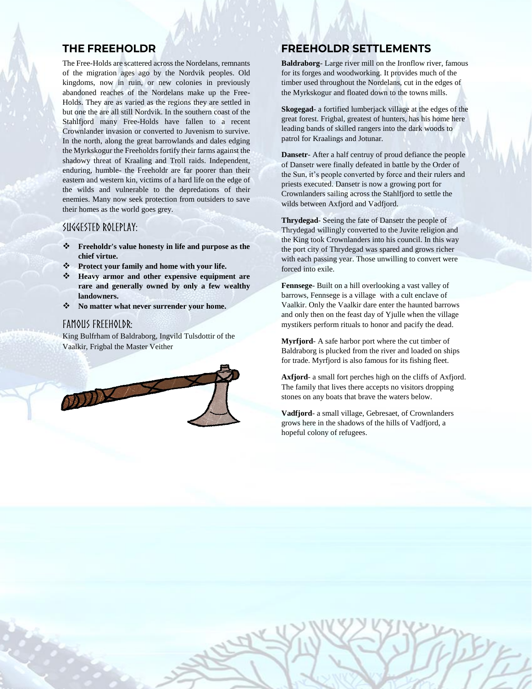#### **THE FREEHOLDR**

The Free-Holds are scattered across the Nordelans, remnants of the migration ages ago by the Nordvik peoples. Old kingdoms, now in ruin, or new colonies in previously abandoned reaches of the Nordelans make up the Free-Holds. They are as varied as the regions they are settled in but one the are all still Nordvik. In the southern coast of the Stahlfjord many Free-Holds have fallen to a recent Crownlander invasion or converted to Juvenism to survive. In the north, along the great barrowlands and dales edging the Myrkskogur the Freeholdrs fortify their farms against the shadowy threat of Kraaling and Troll raids. Independent, enduring, humble- the Freeholdr are far poorer than their eastern and western kin, victims of a hard life on the edge of the wilds and vulnerable to the depredations of their enemies. Many now seek protection from outsiders to save their homes as the world goes grey.

#### SUGGESTED ROLEPLAY:

- ❖ **Freeholdr's value honesty in life and purpose as the chief virtue.**
- ❖ **Protect your family and home with your life.**
- ❖ **Heavy armor and other expensive equipment are rare and generally owned by only a few wealthy landowners.**
- ❖ **No matter what never surrender your home.**

#### FAMOUS FREEHOLDR:

King Bulfrham of Baldraborg, Ingvild Tulsdottir of the Vaalkir, Frigbal the Master Veither



#### **FREEHOLDR SETTLEMENTS**

**Baldraborg**- Large river mill on the Ironflow river, famous for its forges and woodworking. It provides much of the timber used throughout the Nordelans, cut in the edges of the Myrkskogur and floated down to the towns mills.

**Skogegad**- a fortified lumberjack village at the edges of the great forest. Frigbal, greatest of hunters, has his home here leading bands of skilled rangers into the dark woods to patrol for Kraalings and Jotunar.

**Dansetr**- After a half centruy of proud defiance the people of Dansetr were finally defeated in battle by the Order of the Sun, it's people converted by force and their rulers and priests executed. Dansetr is now a growing port for Crownlanders sailing across the Stahlfjord to settle the wilds between Axfjord and Vadfjord.

**Thrydegad**- Seeing the fate of Dansetr the people of Thrydegad willingly converted to the Juvite religion and the King took Crownlanders into his council. In this way the port city of Thrydegad was spared and grows richer with each passing year. Those unwilling to convert were forced into exile.

**Fennsege**- Built on a hill overlooking a vast valley of barrows, Fennsege is a village with a cult enclave of Vaalkir. Only the Vaalkir dare enter the haunted barrows and only then on the feast day of Yjulle when the village mystikers perform rituals to honor and pacify the dead.

**Myrfjord**- A safe harbor port where the cut timber of Baldraborg is plucked from the river and loaded on ships for trade. Myrfjord is also famous for its fishing fleet.

**Axfjord**- a small fort perches high on the cliffs of Axfjord. The family that lives there accepts no visitors dropping stones on any boats that brave the waters below.

**Vadfjord**- a small village, Gebresaet, of Crownlanders grows here in the shadows of the hills of Vadfjord, a hopeful colony of refugees.